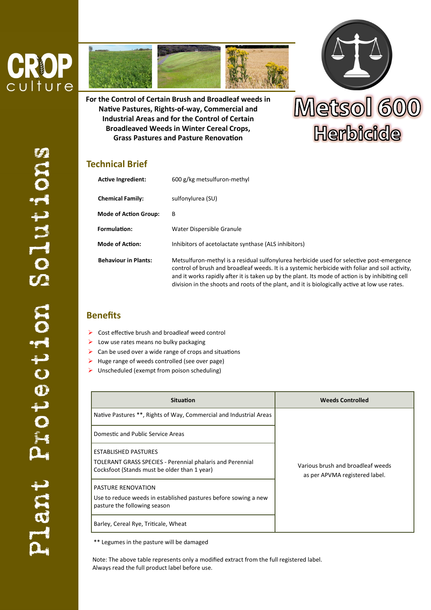



**For the Control of Certain Brush and Broadleaf weeds in Native Pastures, Rights-of-way, Commercial and Industrial Areas and for the Control of Certain Broadleaved Weeds in Winter Cereal Crops, Grass Pastures and Pasture Renovation**



## **Technical Brief**

| <b>Active Ingredient:</b>    | 600 g/kg metsulfuron-methyl                                                                                                                                                                                                                                                                                                                                                                        |
|------------------------------|----------------------------------------------------------------------------------------------------------------------------------------------------------------------------------------------------------------------------------------------------------------------------------------------------------------------------------------------------------------------------------------------------|
| <b>Chemical Family:</b>      | sulfonylurea (SU)                                                                                                                                                                                                                                                                                                                                                                                  |
| <b>Mode of Action Group:</b> | в                                                                                                                                                                                                                                                                                                                                                                                                  |
| Formulation:                 | Water Dispersible Granule                                                                                                                                                                                                                                                                                                                                                                          |
| <b>Mode of Action:</b>       | Inhibitors of acetolactate synthase (ALS inhibitors)                                                                                                                                                                                                                                                                                                                                               |
| <b>Behaviour in Plants:</b>  | Metsulfuron-methyl is a residual sulfonylurea herbicide used for selective post-emergence<br>control of brush and broadleaf weeds. It is a systemic herbicide with foliar and soil activity,<br>and it works rapidly after it is taken up by the plant. Its mode of action is by inhibiting cell<br>division in the shoots and roots of the plant, and it is biologically active at low use rates. |

## **Benefits**

- $\triangleright$  Cost effective brush and broadleaf weed control
- $\blacktriangleright$  Low use rates means no bulky packaging
- $\triangleright$  Can be used over a wide range of crops and situations
- $\blacktriangleright$  Huge range of weeds controlled (see over page)
- $\triangleright$  Unscheduled (exempt from poison scheduling)

| <b>Situation</b>                                                                                                                  | <b>Weeds Controlled</b>                                             |  |
|-----------------------------------------------------------------------------------------------------------------------------------|---------------------------------------------------------------------|--|
| Native Pastures **, Rights of Way, Commercial and Industrial Areas                                                                |                                                                     |  |
| Domestic and Public Service Areas                                                                                                 |                                                                     |  |
| ESTABLISHED PASTURES<br>TOLERANT GRASS SPECIES - Perennial phalaris and Perennial<br>Cocksfoot (Stands must be older than 1 year) | Various brush and broadleaf weeds<br>as per APVMA registered label. |  |
| <b>PASTURE RENOVATION</b><br>Use to reduce weeds in established pastures before sowing a new<br>pasture the following season      |                                                                     |  |
| Barley, Cereal Rye, Triticale, Wheat                                                                                              |                                                                     |  |

\*\* Legumes in the pasture will be damaged

Note: The above table represents only a modified extract from the full registered label. Always read the full product label before use.